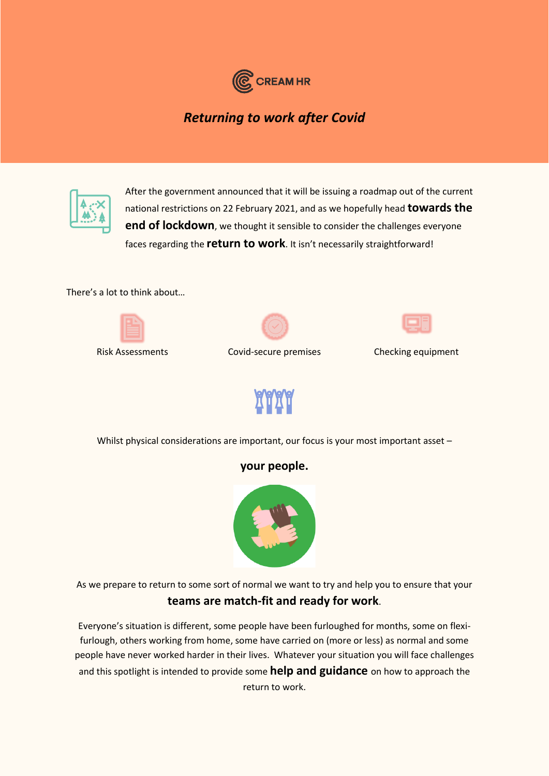

*Returning to work after Covid*



After the government announced that it will be issuing a roadmap out of the current national restrictions on 22 February 2021, and as we hopefully head **towards the end of lockdown**, we thought it sensible to consider the challenges everyone faces regarding the **return to work**. It isn't necessarily straightforward!

There's a lot to think about…







Risk Assessments Covid-secure premises Checking equipment



Whilst physical considerations are important, our focus is your most important asset -

## **your people.**



As we prepare to return to some sort of normal we want to try and help you to ensure that your **teams are match-fit and ready for work**.

Everyone's situation is different, some people have been furloughed for months, some on flexifurlough, others working from home, some have carried on (more or less) as normal and some people have never worked harder in their lives. Whatever your situation you will face challenges and this spotlight is intended to provide some **help and guidance** on how to approach the return to work.